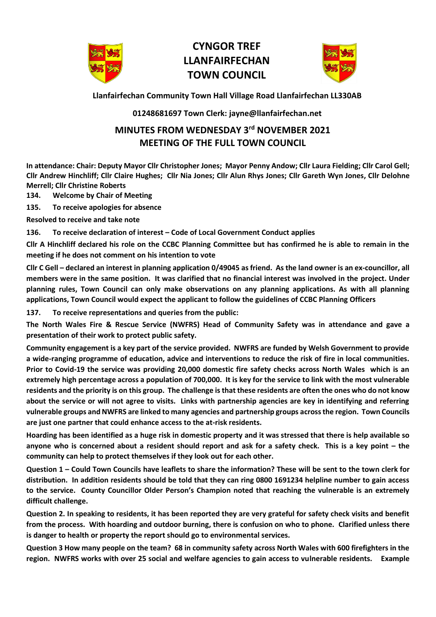

# **CYNGOR TREF LLANFAIRFECHAN TOWN COUNCIL**



**Llanfairfechan Community Town Hall Village Road Llanfairfechan LL330AB**

### **01248681697 Town Clerk: jayne@llanfairfechan.net**

## **MINUTES FROM WEDNESDAY 3 rd NOVEMBER 2021 MEETING OF THE FULL TOWN COUNCIL**

**In attendance: Chair: Deputy Mayor Cllr Christopher Jones; Mayor Penny Andow; Cllr Laura Fielding; Cllr Carol Gell; Cllr Andrew Hinchliff; Cllr Claire Hughes; Cllr Nia Jones; Cllr Alun Rhys Jones; Cllr Gareth Wyn Jones, Cllr Delohne Merrell; Cllr Christine Roberts**

**134. Welcome by Chair of Meeting**

**135. To receive apologies for absence**

**Resolved to receive and take note**

**136. To receive declaration of interest – Code of Local Government Conduct applies**

**Cllr A Hinchliff declared his role on the CCBC Planning Committee but has confirmed he is able to remain in the meeting if he does not comment on his intention to vote**

**Cllr C Gell – declared an interest in planning application 0/49045 as friend. As the land owner is an ex-councillor, all members were in the same position. It was clarified that no financial interest was involved in the project. Under planning rules, Town Council can only make observations on any planning applications. As with all planning applications, Town Council would expect the applicant to follow the guidelines of CCBC Planning Officers**

**137. To receive representations and queries from the public:**

**The North Wales Fire & Rescue Service (NWFRS) Head of Community Safety was in attendance and gave a presentation of their work to protect public safety.** 

**Community engagement is a key part of the service provided. NWFRS are funded by Welsh Government to provide a wide-ranging programme of education, advice and interventions to reduce the risk of fire in local communities. Prior to Covid-19 the service was providing 20,000 domestic fire safety checks across North Wales which is an extremely high percentage across a population of 700,000. It is key for the service to link with the most vulnerable residents and the priority is on this group. The challenge is that these residents are often the ones who do not know about the service or will not agree to visits. Links with partnership agencies are key in identifying and referring vulnerable groups and NWFRS are linked to many agencies and partnership groups across the region. Town Councils are just one partner that could enhance access to the at-risk residents.** 

**Hoarding has been identified as a huge risk in domestic property and it was stressed that there is help available so anyone who is concerned about a resident should report and ask for a safety check. This is a key point – the community can help to protect themselves if they look out for each other.** 

**Question 1 – Could Town Councils have leaflets to share the information? These will be sent to the town clerk for distribution. In addition residents should be told that they can ring 0800 1691234 helpline number to gain access to the service. County Councillor Older Person's Champion noted that reaching the vulnerable is an extremely difficult challenge.** 

**Question 2. In speaking to residents, it has been reported they are very grateful for safety check visits and benefit from the process. With hoarding and outdoor burning, there is confusion on who to phone. Clarified unless there is danger to health or property the report should go to environmental services.** 

**Question 3 How many people on the team? 68 in community safety across North Wales with 600 firefighters in the region. NWFRS works with over 25 social and welfare agencies to gain access to vulnerable residents. Example**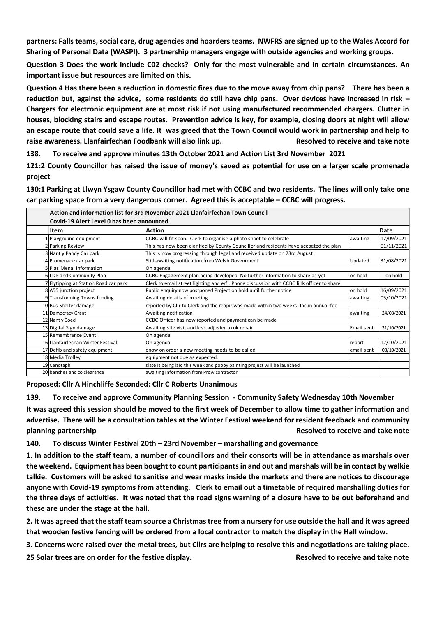**partners: Falls teams, social care, drug agencies and hoarders teams. NWFRS are signed up to the Wales Accord for Sharing of Personal Data (WASPI). 3 partnership managers engage with outside agencies and working groups.** 

**Question 3 Does the work include C02 checks? Only for the most vulnerable and in certain circumstances. An important issue but resources are limited on this.** 

**Question 4 Has there been a reduction in domestic fires due to the move away from chip pans? There has been a reduction but, against the advice, some residents do still have chip pans. Over devices have increased in risk – Chargers for electronic equipment are at most risk if not using manufactured recommended chargers. Clutter in houses, blocking stairs and escape routes. Prevention advice is key, for example, closing doors at night will allow an escape route that could save a life. It was greed that the Town Council would work in partnership and help to raise awareness. Llanfairfechan Foodbank will also link up. Resolved to receive and take note**

**138. To receive and approve minutes 13th October 2021 and Action List 3rd November 2021**

**121:2 County Councillor has raised the issue of money's saved as potential for use on a larger scale promenade project**

**130:1 Parking at Llwyn Ysgaw County Councillor had met with CCBC and two residents. The lines will only take one car parking space from a very dangerous corner. Agreed this is acceptable – CCBC will progress.** 

| Action and information list for 3rd November 2021 Llanfairfechan Town Council<br>Covid-19 Alert Level 0 has been announced |                                       |                                                                                          |            |            |  |  |
|----------------------------------------------------------------------------------------------------------------------------|---------------------------------------|------------------------------------------------------------------------------------------|------------|------------|--|--|
|                                                                                                                            | Item                                  | <b>Action</b>                                                                            |            | Date       |  |  |
|                                                                                                                            | 1 Playground equipment                | CCBC will fit soon. Clerk to organise a photo shoot to celebrate                         | awaiting   | 17/09/2021 |  |  |
|                                                                                                                            | 2 Parking Review                      | This has now been clarified by County Councillor and residents have accpeted the plan    |            | 01/11/2021 |  |  |
|                                                                                                                            | 3 Nant y Pandy Car park               | This is now progressing through legal and received update on 23rd August                 |            |            |  |  |
|                                                                                                                            | 4 Promenade car park                  | Still awaiting notification from Welsh Govenrment                                        | Updated    | 31/08/2021 |  |  |
|                                                                                                                            | 5 Plas Menai information              | On agenda                                                                                |            |            |  |  |
|                                                                                                                            | 6 LDP and Community Plan              | CCBC Engagement plan being developed. No further information to share as yet             | on hold    | on hold    |  |  |
|                                                                                                                            | 7 Flytipping at Station Road car park | Clerk to email street lighting and erf. Phone discussion with CCBC link officer to share |            |            |  |  |
|                                                                                                                            | 8 A55 junction project                | Public enquiry now postponed Project on hold until further notice                        | on hold    | 16/09/2021 |  |  |
|                                                                                                                            | 9 Transforming Towns funding          | Awaiting details of meeting                                                              | awaiting   | 05/10/2021 |  |  |
|                                                                                                                            | 10 Bus Shelter damage                 | reported by Cllr to Clerk and the reapir was made within two weeks. Inc in annual fee    |            |            |  |  |
|                                                                                                                            | 11 Democracy Grant                    | Awaiting notification                                                                    | awaiting   | 24/08/2021 |  |  |
|                                                                                                                            | 12 Nant y Coed                        | CCBC Officer has now reported and payment can be made                                    |            |            |  |  |
|                                                                                                                            | 13 Digital Sign damage                | Awaiting site visit and loss adjuster to ok repair                                       | Email sent | 31/10/2021 |  |  |
|                                                                                                                            | 15 Remembrance Event                  | On agenda                                                                                |            |            |  |  |
|                                                                                                                            | 16 Llanfairfechan Winter Festival     | On agenda                                                                                | report     | 12/10/2021 |  |  |
|                                                                                                                            | 17 Defib and safety equipment         | onow on order a new meeting needs to be called                                           | email sent | 08/10/2021 |  |  |
|                                                                                                                            | 18 Media Trolley                      | equipment not due as expected.                                                           |            |            |  |  |
|                                                                                                                            | 19 Cenotaph                           | slate is being laid this week and poppy painting project will be launched                |            |            |  |  |
|                                                                                                                            | 20 benches and co clearance           | awaiting information from Prow contractor                                                |            |            |  |  |

**Proposed: Cllr A Hinchliffe Seconded: Cllr C Roberts Unanimous**

**139. To receive and approve Community Planning Session - Community Safety Wednesday 10th November It was agreed this session should be moved to the first week of December to allow time to gather information and advertise. There will be a consultation tables at the Winter Festival weekend for resident feedback and community planning partnership** *Resolved to receive and take note* 

**140. To discuss Winter Festival 20th – 23rd November – marshalling and governance**

**1. In addition to the staff team, a number of councillors and their consorts will be in attendance as marshals over the weekend. Equipment has been bought to count participantsin and out and marshals will be in contact by walkie talkie. Customers will be asked to sanitise and wear masks inside the markets and there are notices to discourage anyone with Covid-19 symptoms from attending. Clerk to email out a timetable of required marshalling duties for the three days of activities. It was noted that the road signs warning of a closure have to be out beforehand and these are under the stage at the hall.** 

**2. It was agreed that the staff team source a Christmas tree from a nursery for use outside the hall and it was agreed that wooden festive fencing will be ordered from a local contractor to match the display in the Hall window.** 

**3. Concerns were raised over the metal trees, but Cllrs are helping to resolve this and negotiations are taking place.** 

**25 Solar trees are on order for the festive display. Resolved to receive and take note**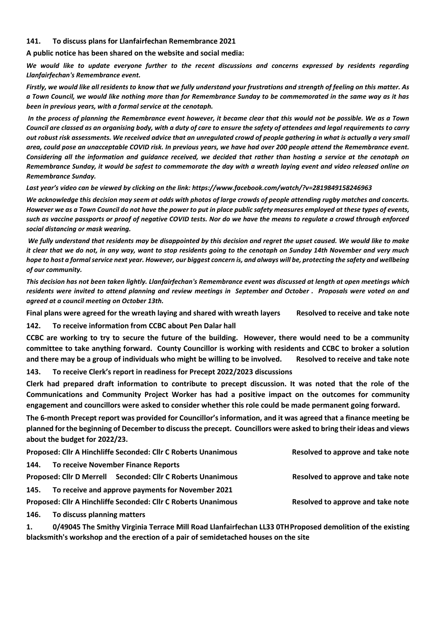#### **141. To discuss plans for Llanfairfechan Remembrance 2021**

**A public notice has been shared on the website and social media:** 

*We would like to update everyone further to the recent discussions and concerns expressed by residents regarding Llanfairfechan's Remembrance event.* 

*Firstly, we would like all residents to know that we fully understand your frustrations and strength of feeling on this matter. As a Town Council, we would like nothing more than for Remembrance Sunday to be commemorated in the same way as it has been in previous years, with a formal service at the cenotaph.*

*In the process of planning the Remembrance event however, it became clear that this would not be possible. We as a Town Council are classed as an organising body, with a duty of care to ensure the safety of attendees and legal requirements to carry out robust risk assessments. We received advice that an unregulated crowd of people gathering in what is actually a very small area, could pose an unacceptable COVID risk. In previous years, we have had over 200 people attend the Remembrance event. Considering all the information and guidance received, we decided that rather than hosting a service at the cenotaph on Remembrance Sunday, it would be safest to commemorate the day with a wreath laying event and video released online on Remembrance Sunday.* 

*Last year's video can be viewed by clicking on the link: https://www.facebook.com/watch/?v=2819849158246963*

*We acknowledge this decision may seem at odds with photos of large crowds of people attending rugby matches and concerts. However we as a Town Council do not have the power to put in place public safety measures employed at these types of events, such as vaccine passports or proof of negative COVID tests. Nor do we have the means to regulate a crowd through enforced social distancing or mask wearing.* 

*We fully understand that residents may be disappointed by this decision and regret the upset caused. We would like to make it clear that we do not, in any way, want to stop residents going to the cenotaph on Sunday 14th November and very much hope to host a formal service next year. However, our biggest concern is, and always will be, protecting the safety and wellbeing of our community.*

*This decision has not been taken lightly. Llanfairfechan's Remembrance event was discussed at length at open meetings which residents were invited to attend planning and review meetings in September and October . Proposals were voted on and agreed at a council meeting on October 13th.* 

**Final plans were agreed for the wreath laying and shared with wreath layers Resolved to receive and take note**

**142. To receive information from CCBC about Pen Dalar hall**

**CCBC are working to try to secure the future of the building. However, there would need to be a community committee to take anything forward. County Councillor is working with residents and CCBC to broker a solution and there may be a group of individuals who might be willing to be involved. Resolved to receive and take note**

**143. To receive Clerk's report in readiness for Precept 2022/2023 discussions** 

**Clerk had prepared draft information to contribute to precept discussion. It was noted that the role of the Communications and Community Project Worker has had a positive impact on the outcomes for community engagement and councillors were asked to consider whether this role could be made permanent going forward.** 

**The 6-month Precept report was provided for Councillor's information, and it was agreed that a finance meeting be planned for the beginning of December to discuss the precept. Councillors were asked to bring their ideas and views about the budget for 2022/23.** 

| Proposed: Cllr A Hinchliffe Seconded: Cllr C Roberts Unanimous |                                                                                                                                                                                                                                                                                                                                                                                       |                                     | Resolved to approve and take note |  |  |
|----------------------------------------------------------------|---------------------------------------------------------------------------------------------------------------------------------------------------------------------------------------------------------------------------------------------------------------------------------------------------------------------------------------------------------------------------------------|-------------------------------------|-----------------------------------|--|--|
| 144.                                                           |                                                                                                                                                                                                                                                                                                                                                                                       | To receive November Finance Reports |                                   |  |  |
| Proposed: Cllr D Merrell Seconded: Cllr C Roberts Unanimous    |                                                                                                                                                                                                                                                                                                                                                                                       |                                     | Resolved to approve and take note |  |  |
| 145.                                                           | To receive and approve payments for November 2021                                                                                                                                                                                                                                                                                                                                     |                                     |                                   |  |  |
| Proposed: Cllr A Hinchliffe Seconded: Cllr C Roberts Unanimous |                                                                                                                                                                                                                                                                                                                                                                                       |                                     | Resolved to approve and take note |  |  |
|                                                                | $\overline{AB}$ $\overline{C}$ $\overline{D}$ $\overline{D}$ $\overline{D}$ $\overline{D}$ $\overline{D}$ $\overline{D}$ $\overline{D}$ $\overline{D}$ $\overline{D}$ $\overline{D}$ $\overline{D}$ $\overline{D}$ $\overline{D}$ $\overline{D}$ $\overline{D}$ $\overline{D}$ $\overline{D}$ $\overline{D}$ $\overline{D}$ $\overline{D}$ $\overline{D}$ $\overline{D}$ $\overline{$ |                                     |                                   |  |  |

**146. To discuss planning matters** 

**1. 0/49045 The Smithy Virginia Terrace Mill Road Llanfairfechan LL33 0THProposed demolition of the existing blacksmith's workshop and the erection of a pair of semidetached houses on the site**